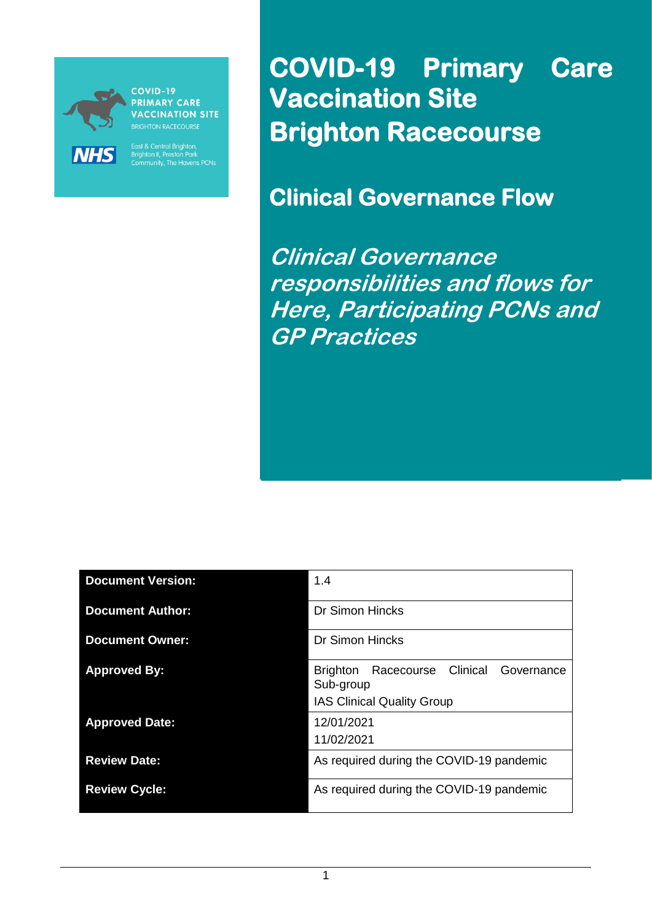

**PRIMARY CARE ACCINATION SITE** 

East & Central Brighton,<br>Brighton II, Preston Park<br>Community, The Havens PCNs

**COVID-19 Primary Care Vaccination Site Brighton Racecourse** 

**Clinical Governance Flow** 

**Clinical Governance responsibilities and flows for Here, Participating PCNs and GP Practices**

| <b>Document Version:</b> | 1.4                                                                                                       |  |  |
|--------------------------|-----------------------------------------------------------------------------------------------------------|--|--|
| <b>Document Author:</b>  | <b>Dr Simon Hincks</b>                                                                                    |  |  |
| <b>Document Owner:</b>   | <b>Dr Simon Hincks</b>                                                                                    |  |  |
| <b>Approved By:</b>      | Clinical<br><b>Brighton</b><br>Racecourse<br>Governance<br>Sub-group<br><b>IAS Clinical Quality Group</b> |  |  |
| <b>Approved Date:</b>    | 12/01/2021<br>11/02/2021                                                                                  |  |  |
| <b>Review Date:</b>      | As required during the COVID-19 pandemic                                                                  |  |  |
| <b>Review Cycle:</b>     | As required during the COVID-19 pandemic                                                                  |  |  |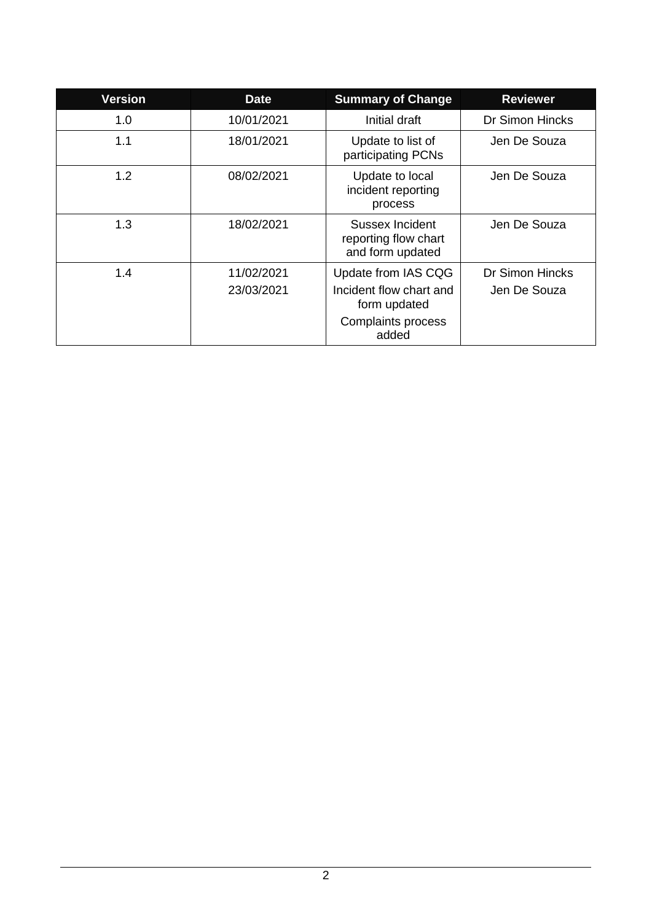| <b>Version</b> | <b>Date</b>              | <b>Summary of Change</b>                                       | <b>Reviewer</b>                 |
|----------------|--------------------------|----------------------------------------------------------------|---------------------------------|
| 1.0            | 10/01/2021               | Initial draft                                                  | <b>Dr Simon Hincks</b>          |
| 1.1            | 18/01/2021               | Update to list of<br>participating PCNs                        | Jen De Souza                    |
| 1.2            | 08/02/2021               | Update to local<br>incident reporting<br>process               | Jen De Souza                    |
| 1.3            | 18/02/2021               | Sussex Incident<br>reporting flow chart<br>and form updated    | Jen De Souza                    |
| 1.4            | 11/02/2021<br>23/03/2021 | Update from IAS CQG<br>Incident flow chart and<br>form updated | Dr Simon Hincks<br>Jen De Souza |
|                |                          | Complaints process<br>added                                    |                                 |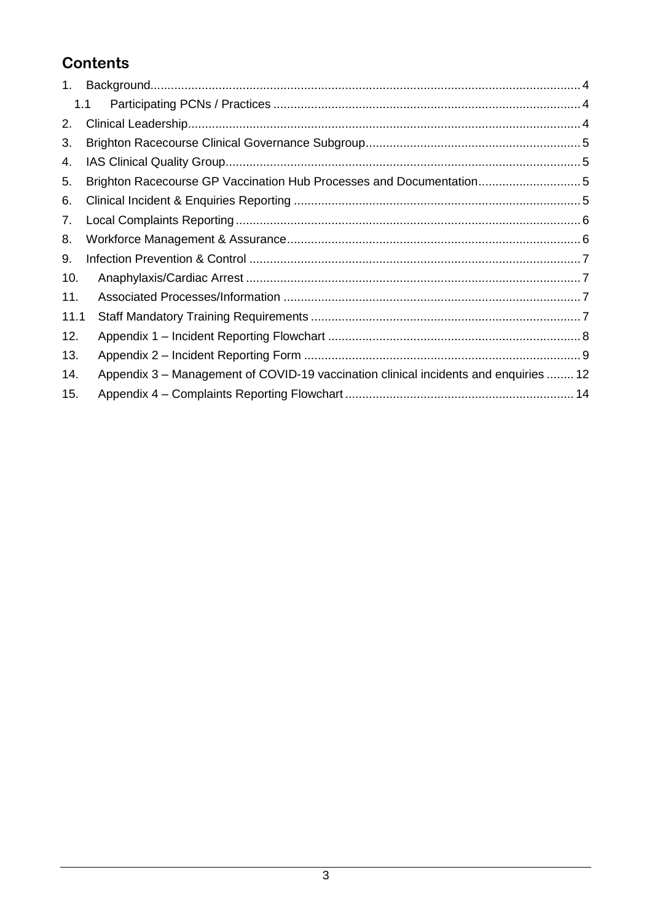## **Contents**

| 1.   |                                                                                      |  |
|------|--------------------------------------------------------------------------------------|--|
|      | 1.1                                                                                  |  |
| 2.   |                                                                                      |  |
| 3.   |                                                                                      |  |
| 4.   |                                                                                      |  |
| 5.   | Brighton Racecourse GP Vaccination Hub Processes and Documentation5                  |  |
| 6.   |                                                                                      |  |
| 7.   |                                                                                      |  |
| 8.   |                                                                                      |  |
| 9.   |                                                                                      |  |
| 10.  |                                                                                      |  |
| 11.  |                                                                                      |  |
| 11.1 |                                                                                      |  |
| 12.  |                                                                                      |  |
| 13.  |                                                                                      |  |
| 14.  | Appendix 3 – Management of COVID-19 vaccination clinical incidents and enquiries  12 |  |
| 15.  |                                                                                      |  |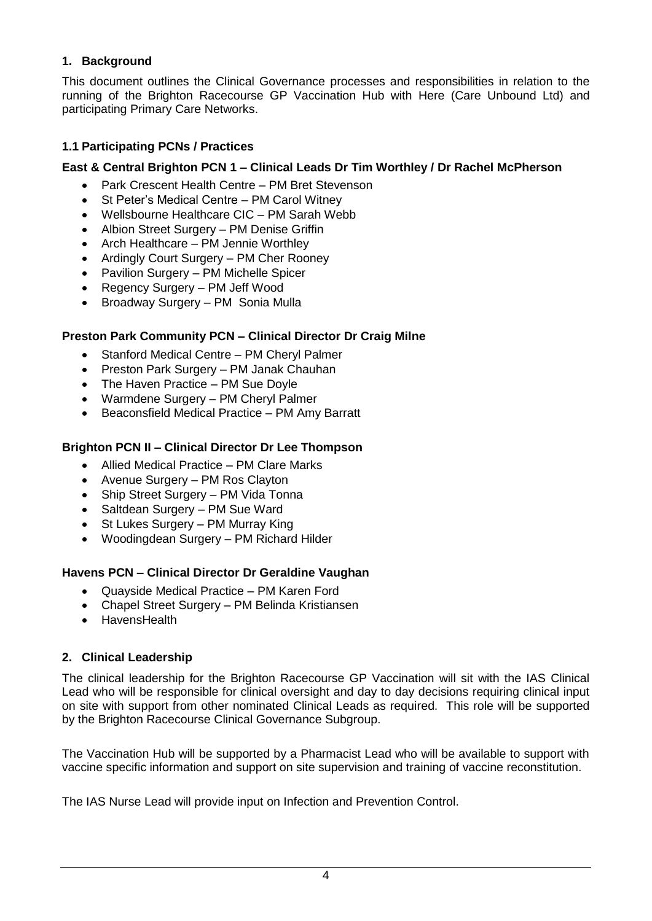#### <span id="page-3-0"></span>**1. Background**

This document outlines the Clinical Governance processes and responsibilities in relation to the running of the Brighton Racecourse GP Vaccination Hub with Here (Care Unbound Ltd) and participating Primary Care Networks.

#### <span id="page-3-1"></span>**1.1 Participating PCNs / Practices**

#### **East & Central Brighton PCN 1 – Clinical Leads Dr Tim Worthley / Dr Rachel McPherson**

- Park Crescent Health Centre PM Bret Stevenson
- St Peter's Medical Centre PM Carol Witney
- Wellsbourne Healthcare CIC PM Sarah Webb
- Albion Street Surgery PM Denise Griffin
- Arch Healthcare PM Jennie Worthley
- Ardingly Court Surgery PM Cher Rooney
- Pavilion Surgery PM Michelle Spicer
- Regency Surgery PM Jeff Wood
- Broadway Surgery PM Sonia Mulla

#### **Preston Park Community PCN – Clinical Director Dr Craig Milne**

- Stanford Medical Centre PM Cheryl Palmer
- Preston Park Surgery PM Janak Chauhan
- The Haven Practice PM Sue Doyle
- Warmdene Surgery PM Cheryl Palmer
- Beaconsfield Medical Practice PM Amy Barratt

#### **Brighton PCN II – Clinical Director Dr Lee Thompson**

- Allied Medical Practice PM Clare Marks
- Avenue Surgery PM Ros Clayton
- Ship Street Surgery PM Vida Tonna
- Saltdean Surgery PM Sue Ward
- St Lukes Surgery PM Murray King
- Woodingdean Surgery PM Richard Hilder

#### **Havens PCN – Clinical Director Dr Geraldine Vaughan**

- Quayside Medical Practice PM Karen Ford
- Chapel Street Surgery PM Belinda Kristiansen
- HavensHealth

#### <span id="page-3-2"></span>**2. Clinical Leadership**

The clinical leadership for the Brighton Racecourse GP Vaccination will sit with the IAS Clinical Lead who will be responsible for clinical oversight and day to day decisions requiring clinical input on site with support from other nominated Clinical Leads as required. This role will be supported by the Brighton Racecourse Clinical Governance Subgroup.

The Vaccination Hub will be supported by a Pharmacist Lead who will be available to support with vaccine specific information and support on site supervision and training of vaccine reconstitution.

The IAS Nurse Lead will provide input on Infection and Prevention Control.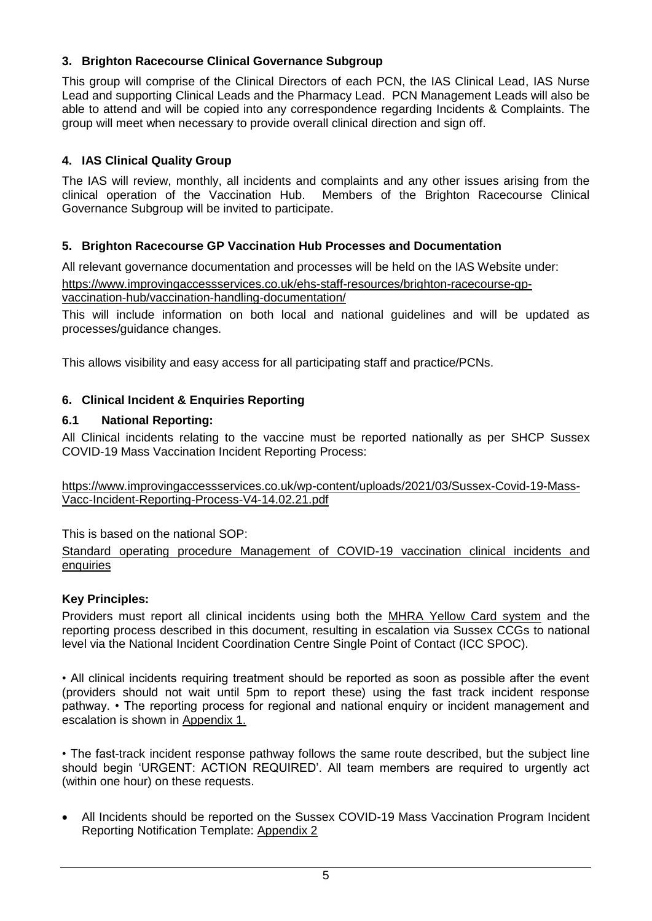#### <span id="page-4-0"></span>**3. Brighton Racecourse Clinical Governance Subgroup**

This group will comprise of the Clinical Directors of each PCN, the IAS Clinical Lead, IAS Nurse Lead and supporting Clinical Leads and the Pharmacy Lead. PCN Management Leads will also be able to attend and will be copied into any correspondence regarding Incidents & Complaints. The group will meet when necessary to provide overall clinical direction and sign off.

#### <span id="page-4-1"></span>**4. IAS Clinical Quality Group**

The IAS will review, monthly, all incidents and complaints and any other issues arising from the clinical operation of the Vaccination Hub. Members of the Brighton Racecourse Clinical Governance Subgroup will be invited to participate.

#### <span id="page-4-2"></span>**5. Brighton Racecourse GP Vaccination Hub Processes and Documentation**

All relevant governance documentation and processes will be held on the IAS Website under: [https://www.improvingaccessservices.co.uk/ehs-staff-resources/brighton-racecourse-gp-](https://www.improvingaccessservices.co.uk/ehs-staff-resources/brighton-racecourse-gp-vaccination-hub/vaccination-handling-documentation/)

#### [vaccination-hub/vaccination-handling-documentation/](https://www.improvingaccessservices.co.uk/ehs-staff-resources/brighton-racecourse-gp-vaccination-hub/vaccination-handling-documentation/)

This will include information on both local and national guidelines and will be updated as processes/guidance changes.

This allows visibility and easy access for all participating staff and practice/PCNs.

#### <span id="page-4-3"></span>**6. Clinical Incident & Enquiries Reporting**

#### **6.1 National Reporting:**

All Clinical incidents relating to the vaccine must be reported nationally as per SHCP Sussex COVID-19 Mass Vaccination Incident Reporting Process:

[https://www.improvingaccessservices.co.uk/wp-content/uploads/2021/03/Sussex-Covid-19-Mass-](https://www.improvingaccessservices.co.uk/wp-content/uploads/2021/03/Sussex-Covid-19-Mass-Vacc-Incident-Reporting-Process-V4-14.02.21.pdf)[Vacc-Incident-Reporting-Process-V4-14.02.21.pdf](https://www.improvingaccessservices.co.uk/wp-content/uploads/2021/03/Sussex-Covid-19-Mass-Vacc-Incident-Reporting-Process-V4-14.02.21.pdf)

This is based on the national SOP:

[Standard operating procedure Management of COVID-19 vaccination clinical incidents and](https://www.england.nhs.uk/coronavirus/wp-content/uploads/sites/52/2020/12/C0951-Managing-Covid-19-Vaccination-Incidents-and-Enquiries-SOP-v2-18-December-2020.pdf)  **[enquiries](https://www.england.nhs.uk/coronavirus/wp-content/uploads/sites/52/2020/12/C0951-Managing-Covid-19-Vaccination-Incidents-and-Enquiries-SOP-v2-18-December-2020.pdf)** 

#### **Key Principles:**

Providers must report all clinical incidents using both the [MHRA Yellow Card system](https://yellowcard.mhra.gov.uk/) and the reporting process described in this document, resulting in escalation via Sussex CCGs to national level via the National Incident Coordination Centre Single Point of Contact (ICC SPOC).

• All clinical incidents requiring treatment should be reported as soon as possible after the event (providers should not wait until 5pm to report these) using the fast track incident response pathway. • The reporting process for regional and national enquiry or incident management and escalation is shown in [Appendix 1.](#page-7-0)

• The fast-track incident response pathway follows the same route described, but the subject line should begin 'URGENT: ACTION REQUIRED'. All team members are required to urgently act (within one hour) on these requests.

 All Incidents should be reported on the Sussex COVID-19 Mass Vaccination Program Incident Reporting Notification Template: [Appendix 2](#page-7-1)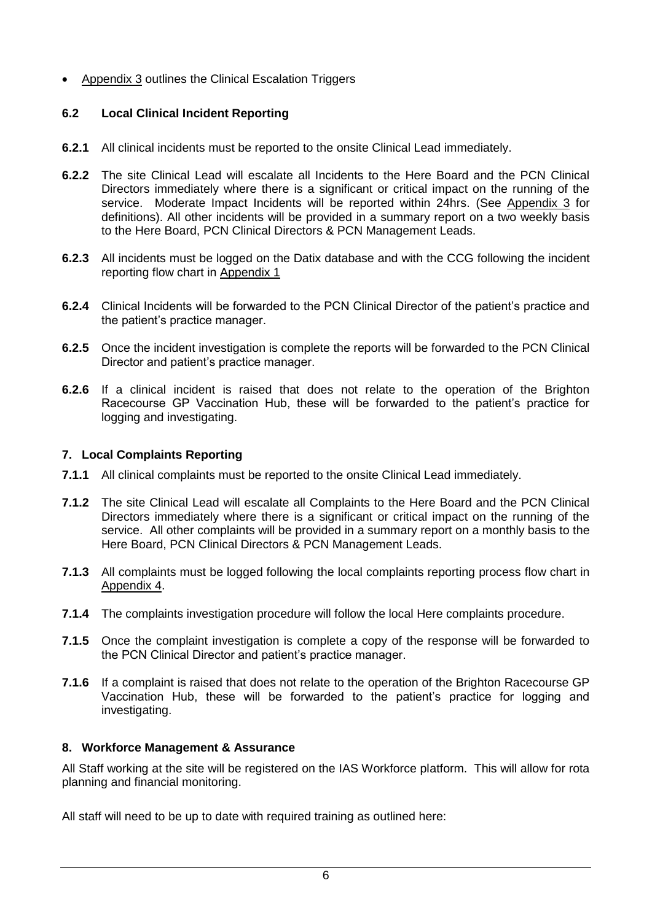[Appendix 3](#page-8-1) outlines the Clinical Escalation Triggers

#### **6.2 Local Clinical Incident Reporting**

- **6.2.1** All clinical incidents must be reported to the onsite Clinical Lead immediately.
- **6.2.2** The site Clinical Lead will escalate all Incidents to the Here Board and the PCN Clinical Directors immediately where there is a significant or critical impact on the running of the service. Moderate Impact Incidents will be reported within 24hrs. (See [Appendix 3](#page-8-1) for definitions). All other incidents will be provided in a summary report on a two weekly basis to the Here Board, PCN Clinical Directors & PCN Management Leads.
- **6.2.3** All incidents must be logged on the Datix database and with the CCG following the incident reporting flow chart in [Appendix 1](#page-7-0)
- **6.2.4** Clinical Incidents will be forwarded to the PCN Clinical Director of the patient's practice and the patient's practice manager.
- **6.2.5** Once the incident investigation is complete the reports will be forwarded to the PCN Clinical Director and patient's practice manager.
- **6.2.6** If a clinical incident is raised that does not relate to the operation of the Brighton Racecourse GP Vaccination Hub, these will be forwarded to the patient's practice for logging and investigating.

#### <span id="page-5-0"></span>**7. Local Complaints Reporting**

- **7.1.1** All clinical complaints must be reported to the onsite Clinical Lead immediately.
- **7.1.2** The site Clinical Lead will escalate all Complaints to the Here Board and the PCN Clinical Directors immediately where there is a significant or critical impact on the running of the service. All other complaints will be provided in a summary report on a monthly basis to the Here Board, PCN Clinical Directors & PCN Management Leads.
- **7.1.3** All complaints must be logged following the local complaints reporting process flow chart in [Appendix 4.](#page-13-0)
- **7.1.4** The complaints investigation procedure will follow the local Here complaints procedure.
- **7.1.5** Once the complaint investigation is complete a copy of the response will be forwarded to the PCN Clinical Director and patient's practice manager.
- **7.1.6** If a complaint is raised that does not relate to the operation of the Brighton Racecourse GP Vaccination Hub, these will be forwarded to the patient's practice for logging and investigating.

#### <span id="page-5-1"></span>**8. Workforce Management & Assurance**

All Staff working at the site will be registered on the IAS Workforce platform. This will allow for rota planning and financial monitoring.

All staff will need to be up to date with required training as outlined here: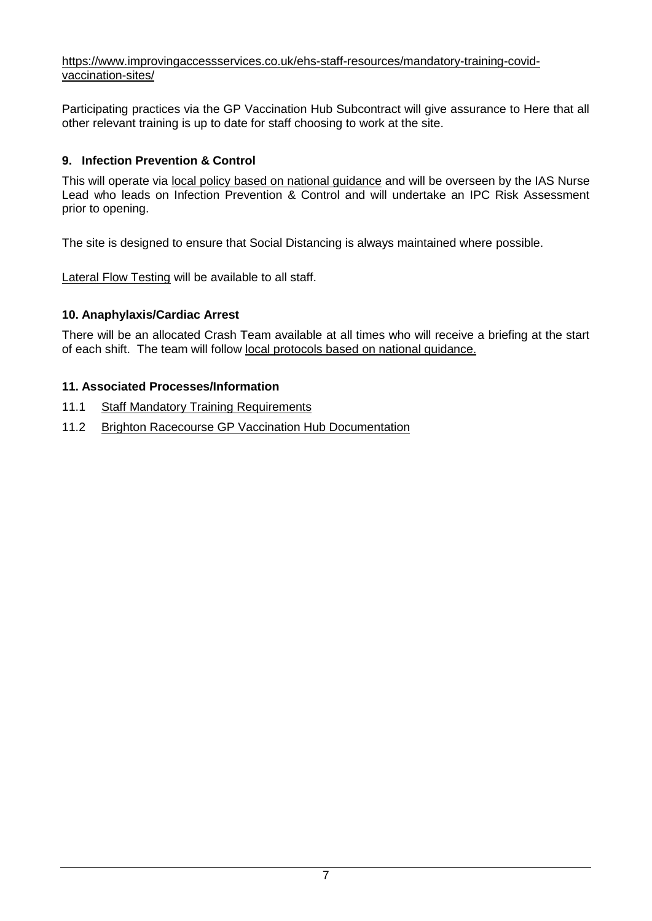#### [https://www.improvingaccessservices.co.uk/ehs-staff-resources/mandatory-training-covid](https://www.improvingaccessservices.co.uk/ehs-staff-resources/mandatory-training-covid-vaccination-sites/)[vaccination-sites/](https://www.improvingaccessservices.co.uk/ehs-staff-resources/mandatory-training-covid-vaccination-sites/)

Participating practices via the GP Vaccination Hub Subcontract will give assurance to Here that all other relevant training is up to date for staff choosing to work at the site.

#### <span id="page-6-0"></span>**9. Infection Prevention & Control**

This will operate via local policy [based on national guidance](https://www.improvingaccessservices.co.uk/ehs-staff-resources/brighton-racecourse-gp-vaccination-hub/infection-prevention-control/) and will be overseen by the IAS Nurse Lead who leads on Infection Prevention & Control and will undertake an IPC Risk Assessment prior to opening.

The site is designed to ensure that Social Distancing is always maintained where possible.

[Lateral Flow Testing](https://www.improvingaccessservices.co.uk/ehs-staff-resources/brighton-racecourse-gp-vaccination-hub/lateral-flow-testing-for-staff-working-at-the-gp-vaccination-hub/) will be available to all staff.

#### <span id="page-6-1"></span>**10. Anaphylaxis/Cardiac Arrest**

There will be an allocated Crash Team available at all times who will receive a briefing at the start of each shift. The team will follow [local protocols based on national guidance.](https://www.improvingaccessservices.co.uk/ehs-staff-resources/brighton-racecourse-gp-vaccination-hub/emergency-protocols/)

#### <span id="page-6-2"></span>**11. Associated Processes/Information**

- <span id="page-6-3"></span>11.1 [Staff Mandatory Training Requirements](https://www.improvingaccessservices.co.uk/ehs-staff-resources/mandatory-training-covid-vaccination-sites/)
- 11.2 [Brighton Racecourse GP Vaccination Hub Documentation](https://www.improvingaccessservices.co.uk/ehs-staff-resources/brighton-racecourse-gp-vaccination-hub/vaccination-handling-documentation/)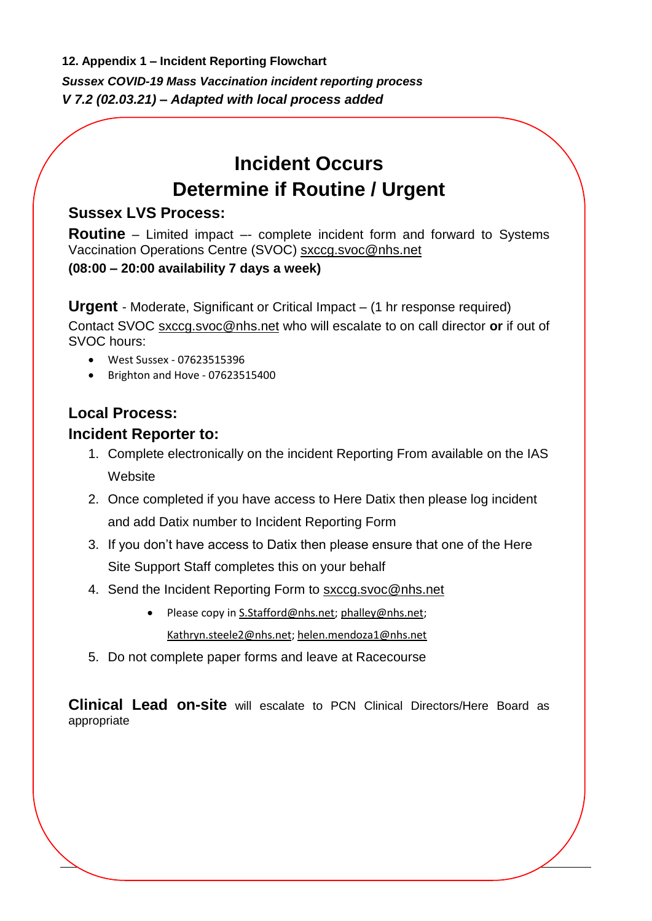<span id="page-7-0"></span>**12. Appendix 1 – Incident Reporting Flowchart**

*Sussex COVID-19 Mass Vaccination incident reporting process V 7.2 (02.03.21) – Adapted with local process added*

# **Incident Occurs Determine if Routine / Urgent**

### <span id="page-7-1"></span>**Sussex LVS Process:**

**Routine** – Limited impact –- complete incident form and forward to Systems Vaccination Operations Centre (SVOC) [sxccg.svoc@nhs.net](mailto:sxccg.svoc@nhs.net) **(08:00 – 20:00 availability 7 days a week)**

**Urgent** - Moderate, Significant or Critical Impact – (1 hr response required) Contact SVOC [sxccg.svoc@nhs.net](mailto:sxccg.svoc@nhs.net) who will escalate to on call director **or** if out of SVOC hours:

- West Sussex 07623515396
- Brighton and Hove 07623515400

## **Local Process:**

### **Incident Reporter to:**

- 1. Complete electronically on the incident Reporting From available on the IAS **Website**
- 2. Once completed if you have access to Here Datix then please log incident and add Datix number to Incident Reporting Form
- 3. If you don't have access to Datix then please ensure that one of the Here Site Support Staff completes this on your behalf
- 4. Send the Incident Reporting Form to [sxccg.svoc@nhs.net](mailto:sxccg.svoc@nhs.net)
	- Please copy in [S.Stafford@nhs.net;](mailto:S.Stafford@nhs.net) [phalley@nhs.net;](mailto:phalley@nhs.net) [Kathryn.steele2@nhs.net;](mailto:Kathryn.steele2@nhs.net) [helen.mendoza1@nhs.net](mailto:helen.mendoza1@nhs.net)
- 5. Do not complete paper forms and leave at Racecourse

**Clinical Lead on-site** will escalate to PCN Clinical Directors/Here Board as appropriate

<u>.</u>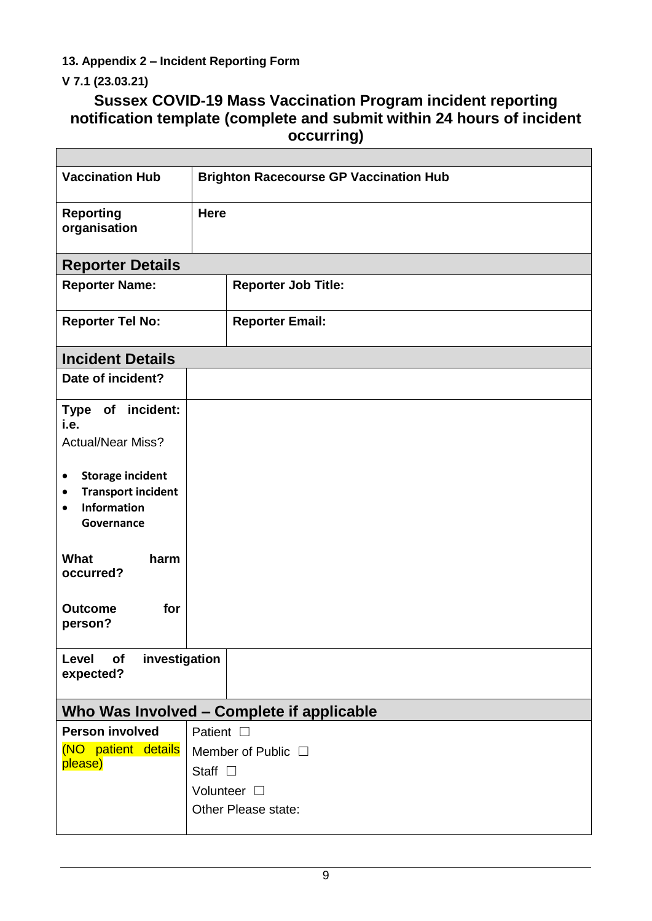<span id="page-8-0"></span>**13. Appendix 2 – Incident Reporting Form**

## <span id="page-8-1"></span>**V 7.1 (23.03.21)**

## **Sussex COVID-19 Mass Vaccination Program incident reporting notification template (complete and submit within 24 hours of incident occurring)**

| <b>Vaccination Hub</b>                                                                                   | <b>Brighton Racecourse GP Vaccination Hub</b> |                            |  |  |
|----------------------------------------------------------------------------------------------------------|-----------------------------------------------|----------------------------|--|--|
| <b>Reporting</b><br>organisation                                                                         | <b>Here</b>                                   |                            |  |  |
| <b>Reporter Details</b>                                                                                  |                                               |                            |  |  |
| <b>Reporter Name:</b>                                                                                    |                                               | <b>Reporter Job Title:</b> |  |  |
| <b>Reporter Tel No:</b>                                                                                  |                                               | <b>Reporter Email:</b>     |  |  |
| <b>Incident Details</b>                                                                                  |                                               |                            |  |  |
| Date of incident?                                                                                        |                                               |                            |  |  |
| Type of incident:<br>i.e.                                                                                |                                               |                            |  |  |
| <b>Actual/Near Miss?</b>                                                                                 |                                               |                            |  |  |
| <b>Storage incident</b><br>٠<br><b>Transport incident</b><br>٠<br>Information<br>$\bullet$<br>Governance |                                               |                            |  |  |
| What<br>harm<br>occurred?                                                                                |                                               |                            |  |  |
| for<br><b>Outcome</b><br>person?                                                                         |                                               |                            |  |  |
| investigation<br>Level<br>of<br>expected?                                                                |                                               |                            |  |  |
| Who Was Involved - Complete if applicable                                                                |                                               |                            |  |  |
| <b>Person involved</b>                                                                                   | Patient $\square$                             |                            |  |  |
| (NO patient details                                                                                      | Member of Public $\Box$                       |                            |  |  |
| please)                                                                                                  | Staff $\square$                               |                            |  |  |
|                                                                                                          | Volunteer $\square$                           |                            |  |  |
|                                                                                                          | Other Please state:                           |                            |  |  |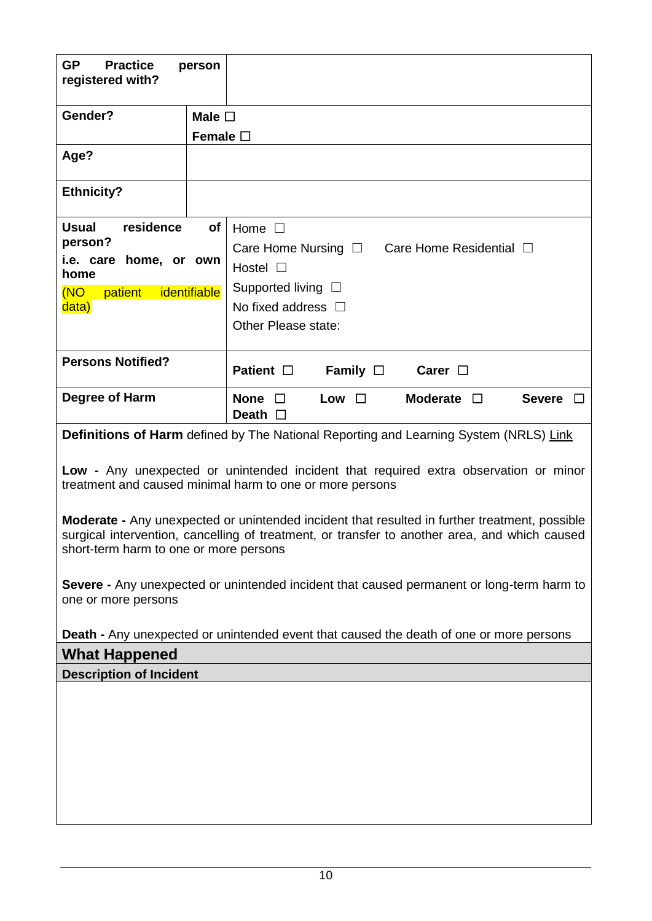| <b>GP</b><br><b>Practice</b><br>registered with? | person           |                                                                                                                                                                                                       |  |  |
|--------------------------------------------------|------------------|-------------------------------------------------------------------------------------------------------------------------------------------------------------------------------------------------------|--|--|
|                                                  |                  |                                                                                                                                                                                                       |  |  |
| Gender?                                          | Male $\square$   |                                                                                                                                                                                                       |  |  |
|                                                  | Female $\square$ |                                                                                                                                                                                                       |  |  |
| Age?                                             |                  |                                                                                                                                                                                                       |  |  |
| <b>Ethnicity?</b>                                |                  |                                                                                                                                                                                                       |  |  |
| <b>Usual</b><br>residence                        | of               | Home $\square$                                                                                                                                                                                        |  |  |
| person?                                          |                  | Care Home Nursing $\Box$<br>Care Home Residential □                                                                                                                                                   |  |  |
| i.e. care home, or own<br>home                   |                  | Hostel $\Box$                                                                                                                                                                                         |  |  |
| identifiable<br>(NO<br>patient                   |                  | Supported living $\Box$                                                                                                                                                                               |  |  |
| data)                                            |                  | No fixed address $\Box$                                                                                                                                                                               |  |  |
|                                                  |                  | Other Please state:                                                                                                                                                                                   |  |  |
|                                                  |                  |                                                                                                                                                                                                       |  |  |
|                                                  |                  |                                                                                                                                                                                                       |  |  |
| <b>Persons Notified?</b>                         |                  | Patient $\square$<br>Family $\Box$<br>Carer $\square$                                                                                                                                                 |  |  |
| Degree of Harm                                   |                  | None $\square$<br>Moderate $\square$<br>Severe $\square$<br>Low $\square$<br>Death $\Box$                                                                                                             |  |  |
|                                                  |                  | <b>Definitions of Harm</b> defined by The National Reporting and Learning System (NRLS) Link                                                                                                          |  |  |
|                                                  |                  | Low - Any unexpected or unintended incident that required extra observation or minor<br>treatment and caused minimal harm to one or more persons                                                      |  |  |
| short-term harm to one or more persons           |                  | <b>Moderate -</b> Any unexpected or unintended incident that resulted in further treatment, possible<br>surgical intervention, cancelling of treatment, or transfer to another area, and which caused |  |  |
| one or more persons                              |                  | Severe - Any unexpected or unintended incident that caused permanent or long-term harm to                                                                                                             |  |  |
|                                                  |                  | <b>Death -</b> Any unexpected or unintended event that caused the death of one or more persons                                                                                                        |  |  |

**Description of Incident**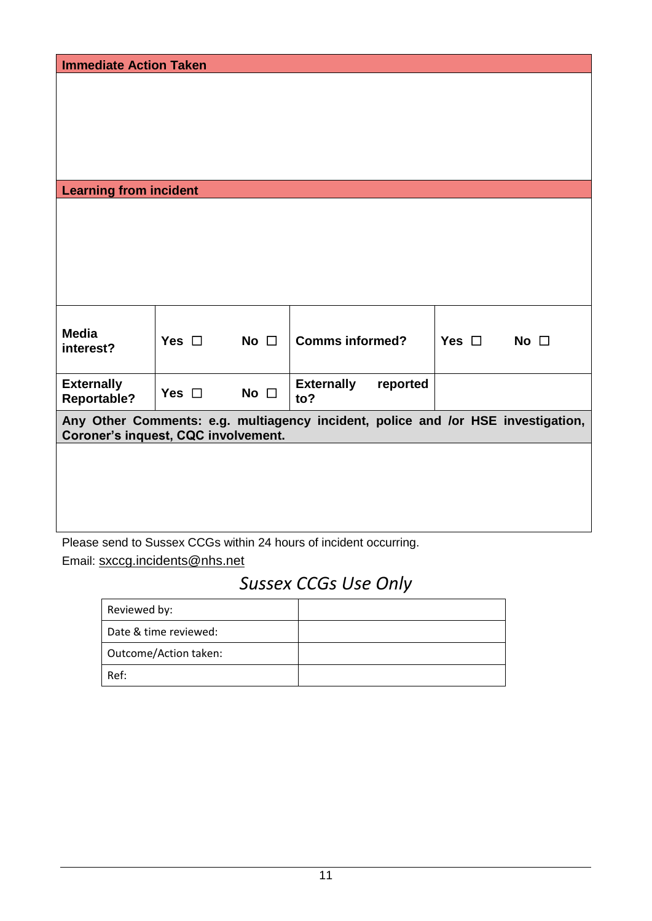| <b>Immediate Action Taken</b>       |                                                                                  |              |                                                                   |                               |  |
|-------------------------------------|----------------------------------------------------------------------------------|--------------|-------------------------------------------------------------------|-------------------------------|--|
|                                     |                                                                                  |              |                                                                   |                               |  |
|                                     |                                                                                  |              |                                                                   |                               |  |
|                                     |                                                                                  |              |                                                                   |                               |  |
|                                     |                                                                                  |              |                                                                   |                               |  |
|                                     |                                                                                  |              |                                                                   |                               |  |
|                                     |                                                                                  |              |                                                                   |                               |  |
|                                     |                                                                                  |              |                                                                   |                               |  |
| <b>Learning from incident</b>       |                                                                                  |              |                                                                   |                               |  |
|                                     |                                                                                  |              |                                                                   |                               |  |
|                                     |                                                                                  |              |                                                                   |                               |  |
|                                     |                                                                                  |              |                                                                   |                               |  |
|                                     |                                                                                  |              |                                                                   |                               |  |
|                                     |                                                                                  |              |                                                                   |                               |  |
|                                     |                                                                                  |              |                                                                   |                               |  |
|                                     |                                                                                  |              |                                                                   |                               |  |
|                                     |                                                                                  |              |                                                                   |                               |  |
| <b>Media</b>                        |                                                                                  |              |                                                                   |                               |  |
|                                     | Yes $\square$                                                                    | No $\square$ | <b>Comms informed?</b>                                            | Yes $\square$<br>No $\square$ |  |
| interest?                           |                                                                                  |              |                                                                   |                               |  |
|                                     |                                                                                  |              |                                                                   |                               |  |
| <b>Externally</b>                   |                                                                                  |              | <b>Externally</b><br>reported                                     |                               |  |
| <b>Reportable?</b>                  | Yes $\square$                                                                    | No $\square$ | to?                                                               |                               |  |
|                                     | Any Other Comments: e.g. multiagency incident, police and /or HSE investigation, |              |                                                                   |                               |  |
| Coroner's inquest, CQC involvement. |                                                                                  |              |                                                                   |                               |  |
|                                     |                                                                                  |              |                                                                   |                               |  |
|                                     |                                                                                  |              |                                                                   |                               |  |
|                                     |                                                                                  |              |                                                                   |                               |  |
|                                     |                                                                                  |              |                                                                   |                               |  |
|                                     |                                                                                  |              |                                                                   |                               |  |
|                                     |                                                                                  |              |                                                                   |                               |  |
|                                     |                                                                                  |              | Please send to Sussex CCGs within 24 hours of incident occurring. |                               |  |

Please send to Sussex CCGs within 24 hours of incident occurring. Email: [sxccg.incidents@nhs.net](mailto:sxccg.incidents@nhs.net)

# *Sussex CCGs Use Only*

| Reviewed by:          |  |
|-----------------------|--|
| Date & time reviewed: |  |
| Outcome/Action taken: |  |
| Ref:                  |  |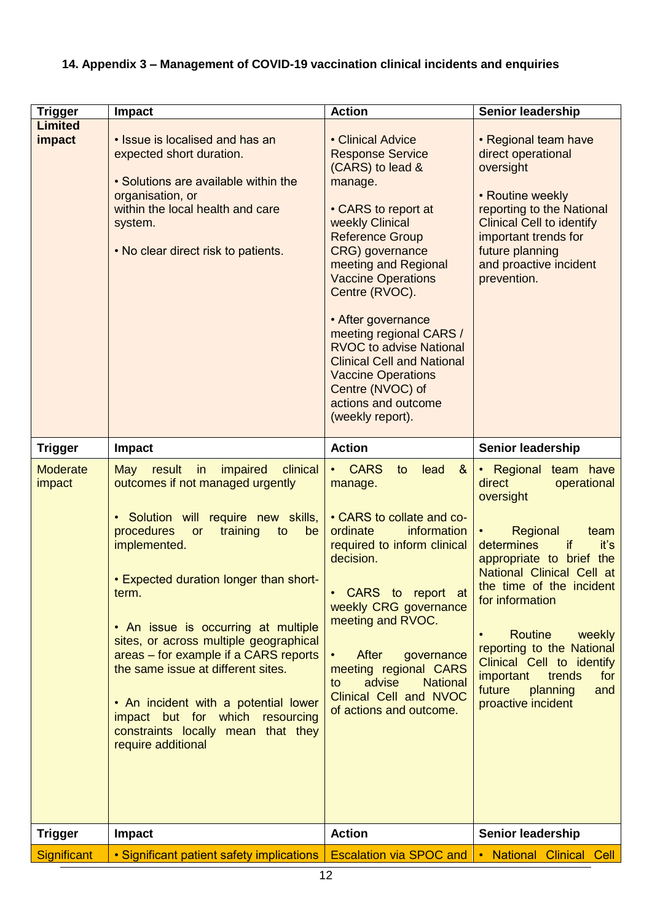<span id="page-11-0"></span>

| <b>Trigger</b>            | <b>Impact</b>                                                                                                                                                                                                                                                                                                                                                                                                                                                                                                                                | <b>Action</b>                                                                                                                                                                                                                                                                                                                                                                                                                                                 | Senior leadership                                                                                                                                                                                                                                                                                                                                                                         |
|---------------------------|----------------------------------------------------------------------------------------------------------------------------------------------------------------------------------------------------------------------------------------------------------------------------------------------------------------------------------------------------------------------------------------------------------------------------------------------------------------------------------------------------------------------------------------------|---------------------------------------------------------------------------------------------------------------------------------------------------------------------------------------------------------------------------------------------------------------------------------------------------------------------------------------------------------------------------------------------------------------------------------------------------------------|-------------------------------------------------------------------------------------------------------------------------------------------------------------------------------------------------------------------------------------------------------------------------------------------------------------------------------------------------------------------------------------------|
| <b>Limited</b><br>impact  | • Issue is localised and has an<br>expected short duration.<br>• Solutions are available within the<br>organisation, or<br>within the local health and care<br>system.<br>• No clear direct risk to patients.                                                                                                                                                                                                                                                                                                                                | • Clinical Advice<br><b>Response Service</b><br>(CARS) to lead &<br>manage.<br>• CARS to report at<br>weekly Clinical<br><b>Reference Group</b><br>CRG) governance<br>meeting and Regional<br><b>Vaccine Operations</b><br>Centre (RVOC).<br>• After governance<br>meeting regional CARS /<br><b>RVOC to advise National</b><br><b>Clinical Cell and National</b><br><b>Vaccine Operations</b><br>Centre (NVOC) of<br>actions and outcome<br>(weekly report). | • Regional team have<br>direct operational<br>oversight<br>• Routine weekly<br>reporting to the National<br><b>Clinical Cell to identify</b><br>important trends for<br>future planning<br>and proactive incident<br>prevention.                                                                                                                                                          |
| <b>Trigger</b>            | <b>Impact</b>                                                                                                                                                                                                                                                                                                                                                                                                                                                                                                                                | <b>Action</b>                                                                                                                                                                                                                                                                                                                                                                                                                                                 | <b>Senior leadership</b>                                                                                                                                                                                                                                                                                                                                                                  |
| <b>Moderate</b><br>impact | May<br>result<br>impaired<br>clinical<br>in<br>outcomes if not managed urgently<br>• Solution will require new skills,<br>procedures<br>training<br>or<br>to<br>be<br>implemented.<br>• Expected duration longer than short-<br>term.<br>• An issue is occurring at multiple<br>sites, or across multiple geographical<br>areas - for example if a CARS reports<br>the same issue at different sites.<br>• An incident with a potential lower<br>impact but for which resourcing<br>constraints locally mean that they<br>require additional | <b>CARS</b><br>lead<br>8 <sub>o</sub><br>to<br>$\bullet$<br>manage.<br>• CARS to collate and co-<br>ordinate<br>information<br>required to inform clinical<br>decision.<br>• CARS to report at<br>weekly CRG governance<br>meeting and RVOC.<br>After<br>governance<br>$\bullet$<br>meeting regional CARS<br>advise<br><b>National</b><br>to<br>Clinical Cell and NVOC<br>of actions and outcome.                                                             | • Regional team have<br>direct<br>operational<br>oversight<br>Regional<br>team<br>determines<br>if<br>it's<br>appropriate to brief the<br>National Clinical Cell at<br>the time of the incident<br>for information<br><b>Routine</b><br>weekly<br>reporting to the National<br>Clinical Cell to identify<br>trends<br>important<br>for<br>future<br>planning<br>and<br>proactive incident |
| <b>Trigger</b>            | <b>Impact</b>                                                                                                                                                                                                                                                                                                                                                                                                                                                                                                                                | <b>Action</b>                                                                                                                                                                                                                                                                                                                                                                                                                                                 | <b>Senior leadership</b>                                                                                                                                                                                                                                                                                                                                                                  |
| Significant               | • Significant patient safety implications                                                                                                                                                                                                                                                                                                                                                                                                                                                                                                    | <b>Escalation via SPOC and</b>                                                                                                                                                                                                                                                                                                                                                                                                                                | . National Clinical Cell                                                                                                                                                                                                                                                                                                                                                                  |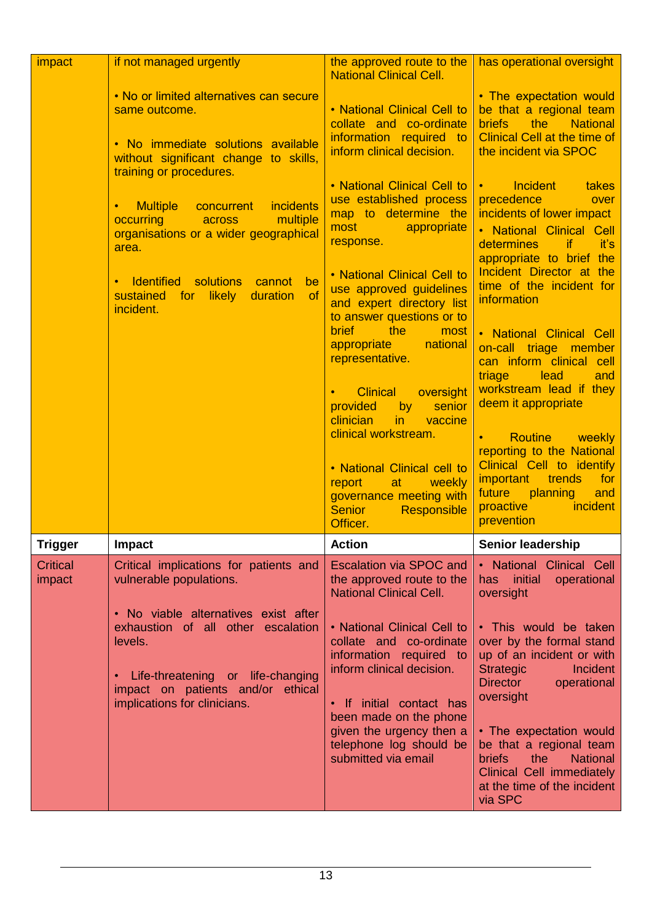| impact                    | if not managed urgently                                                                                                                                                                                                                                                                    | the approved route to the<br><b>National Clinical Cell.</b>                                                                                                                                                                                                                                                                                                                                                                                           | has operational oversight                                                                                                                                                                                                                                                                                                                                                         |
|---------------------------|--------------------------------------------------------------------------------------------------------------------------------------------------------------------------------------------------------------------------------------------------------------------------------------------|-------------------------------------------------------------------------------------------------------------------------------------------------------------------------------------------------------------------------------------------------------------------------------------------------------------------------------------------------------------------------------------------------------------------------------------------------------|-----------------------------------------------------------------------------------------------------------------------------------------------------------------------------------------------------------------------------------------------------------------------------------------------------------------------------------------------------------------------------------|
|                           | . No or limited alternatives can secure<br>same outcome.<br>• No immediate solutions available<br>without significant change to skills,                                                                                                                                                    | • National Clinical Cell to<br>collate and co-ordinate<br>information required to<br>inform clinical decision.                                                                                                                                                                                                                                                                                                                                        | . The expectation would<br>be that a regional team<br>the<br><b>briefs</b><br><b>National</b><br><b>Clinical Cell at the time of</b><br>the incident via SPOC                                                                                                                                                                                                                     |
|                           | training or procedures.<br><b>Multiple</b><br><i>incidents</i><br>concurrent<br>multiple<br>occurring<br><b>Example 20 across</b><br>organisations or a wider geographical<br>area.<br>• Identified<br>solutions<br>be<br>cannot<br>of<br>for likely<br>duration<br>sustained<br>incident. | • National Clinical Cell to<br>use established process<br>map to determine the<br>most<br>appropriate<br>response.<br>• National Clinical Cell to<br>use approved guidelines<br>and expert directory list<br>to answer questions or to                                                                                                                                                                                                                | <b>Incident</b><br>takes<br>$\bullet$ , and $\bullet$<br>precedence<br>over<br>incidents of lower impact<br>• National Clinical Cell<br>determines<br>if.<br>it's<br>appropriate to brief the<br>Incident Director at the<br>time of the incident for<br>information                                                                                                              |
|                           |                                                                                                                                                                                                                                                                                            | <b>brief</b><br>the<br>most<br>appropriate<br>national<br><b>Contract Contract Contract Contract Contract Contract Contract Contract Contract Contract Contract Contract C</b><br>representative.<br>oversight<br><b>Clinical</b><br>senior<br>provided<br>by<br>clinician<br>in<br>vaccine<br>clinical workstream.<br>• National Clinical cell to<br>report<br>at a<br>weekly<br>governance meeting with<br><b>Senior</b><br>Responsible<br>Officer. | • National Clinical Cell<br>on-call triage member<br>can inform clinical cell<br>triage<br>lead<br>and<br>workstream lead if they<br>deem it appropriate<br>Routine weekly<br>$\bullet$ . The set of $\bullet$<br>reporting to the National<br>Clinical Cell to identify<br><i>important</i><br>trends<br>for<br>future<br>planning<br>and<br>proactive<br>incident<br>prevention |
| <b>Trigger</b>            | Impact                                                                                                                                                                                                                                                                                     | <b>Action</b>                                                                                                                                                                                                                                                                                                                                                                                                                                         | Senior leadership                                                                                                                                                                                                                                                                                                                                                                 |
| <b>Critical</b><br>impact | Critical implications for patients and<br>vulnerable populations.                                                                                                                                                                                                                          | <b>Escalation via SPOC and</b><br>the approved route to the<br><b>National Clinical Cell.</b>                                                                                                                                                                                                                                                                                                                                                         | • National Clinical Cell<br>has initial<br>operational<br>oversight                                                                                                                                                                                                                                                                                                               |
|                           | • No viable alternatives exist after<br>exhaustion of all other escalation<br>levels.<br>• Life-threatening or life-changing<br>impact on patients and/or ethical<br>implications for clinicians.                                                                                          | • National Clinical Cell to<br>collate and co-ordinate<br>information required to<br>inform clinical decision.<br>• If initial contact has<br>been made on the phone<br>given the urgency then a<br>telephone log should be<br>submitted via email                                                                                                                                                                                                    | . This would be taken<br>over by the formal stand<br>up of an incident or with<br><b>Strategic</b><br>Incident<br><b>Director</b><br>operational<br>oversight<br>• The expectation would<br>be that a regional team<br>the<br><b>National</b><br><b>briefs</b><br>Clinical Cell immediately<br>at the time of the incident<br>via SPC                                             |